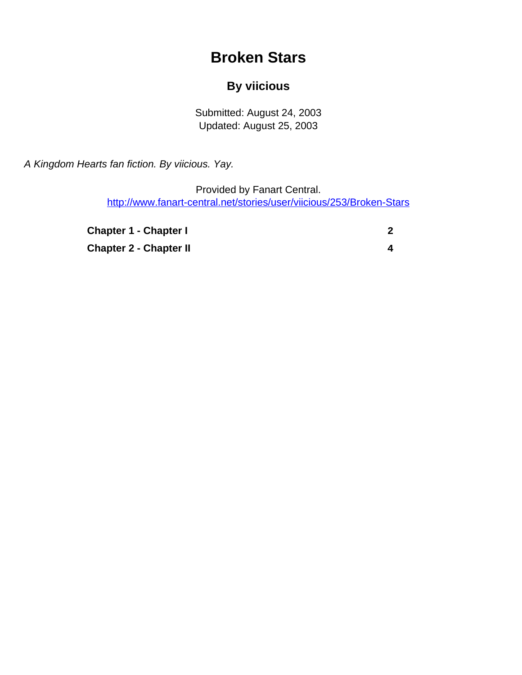# **Broken Stars**

### **By viicious**

Submitted: August 24, 2003 Updated: August 25, 2003

<span id="page-0-0"></span>A Kingdom Hearts fan fiction. By viicious. Yay.

Provided by Fanart Central. [http://www.fanart-central.net/stories/user/viicious/253/Broken-Stars](#page-0-0)

| <b>Chapter 1 - Chapter I</b>  |  |
|-------------------------------|--|
| <b>Chapter 2 - Chapter II</b> |  |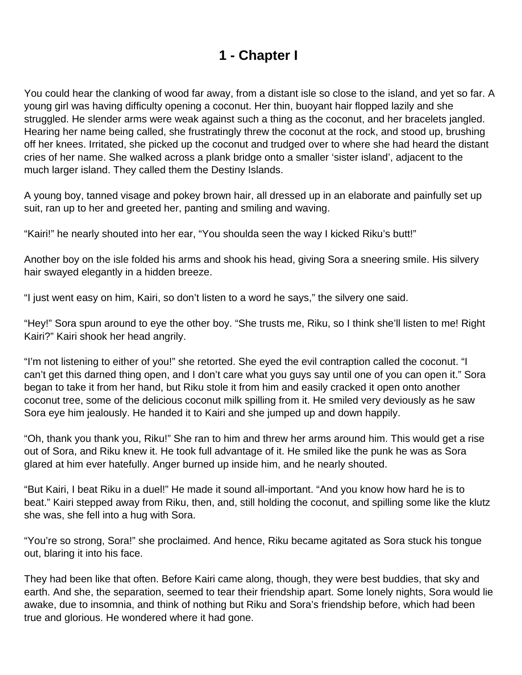## **1 - Chapter I**

<span id="page-1-0"></span>You could hear the clanking of wood far away, from a distant isle so close to the island, and yet so far. A young girl was having difficulty opening a coconut. Her thin, buoyant hair flopped lazily and she struggled. He slender arms were weak against such a thing as the coconut, and her bracelets jangled. Hearing her name being called, she frustratingly threw the coconut at the rock, and stood up, brushing off her knees. Irritated, she picked up the coconut and trudged over to where she had heard the distant cries of her name. She walked across a plank bridge onto a smaller 'sister island', adjacent to the much larger island. They called them the Destiny Islands.

A young boy, tanned visage and pokey brown hair, all dressed up in an elaborate and painfully set up suit, ran up to her and greeted her, panting and smiling and waving.

"Kairi!" he nearly shouted into her ear, "You shoulda seen the way I kicked Riku's butt!"

Another boy on the isle folded his arms and shook his head, giving Sora a sneering smile. His silvery hair swayed elegantly in a hidden breeze.

"I just went easy on him, Kairi, so don't listen to a word he says," the silvery one said.

"Hey!" Sora spun around to eye the other boy. "She trusts me, Riku, so I think she'll listen to me! Right Kairi?" Kairi shook her head angrily.

"I'm not listening to either of you!" she retorted. She eyed the evil contraption called the coconut. "I can't get this darned thing open, and I don't care what you guys say until one of you can open it." Sora began to take it from her hand, but Riku stole it from him and easily cracked it open onto another coconut tree, some of the delicious coconut milk spilling from it. He smiled very deviously as he saw Sora eye him jealously. He handed it to Kairi and she jumped up and down happily.

"Oh, thank you thank you, Riku!" She ran to him and threw her arms around him. This would get a rise out of Sora, and Riku knew it. He took full advantage of it. He smiled like the punk he was as Sora glared at him ever hatefully. Anger burned up inside him, and he nearly shouted.

"But Kairi, I beat Riku in a duel!" He made it sound all-important. "And you know how hard he is to beat." Kairi stepped away from Riku, then, and, still holding the coconut, and spilling some like the klutz she was, she fell into a hug with Sora.

"You're so strong, Sora!" she proclaimed. And hence, Riku became agitated as Sora stuck his tongue out, blaring it into his face.

They had been like that often. Before Kairi came along, though, they were best buddies, that sky and earth. And she, the separation, seemed to tear their friendship apart. Some lonely nights, Sora would lie awake, due to insomnia, and think of nothing but Riku and Sora's friendship before, which had been true and glorious. He wondered where it had gone.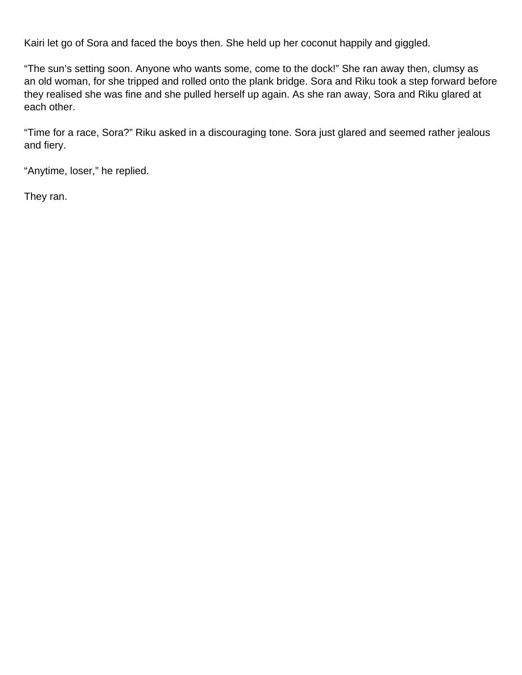Kairi let go of Sora and faced the boys then. She held up her coconut happily and giggled.

"The sun's setting soon. Anyone who wants some, come to the dock!" She ran away then, clumsy as an old woman, for she tripped and rolled onto the plank bridge. Sora and Riku took a step forward before they realised she was fine and she pulled herself up again. As she ran away, Sora and Riku glared at each other.

"Time for a race, Sora?" Riku asked in a discouraging tone. Sora just glared and seemed rather jealous and fiery.

"Anytime, loser," he replied.

They ran.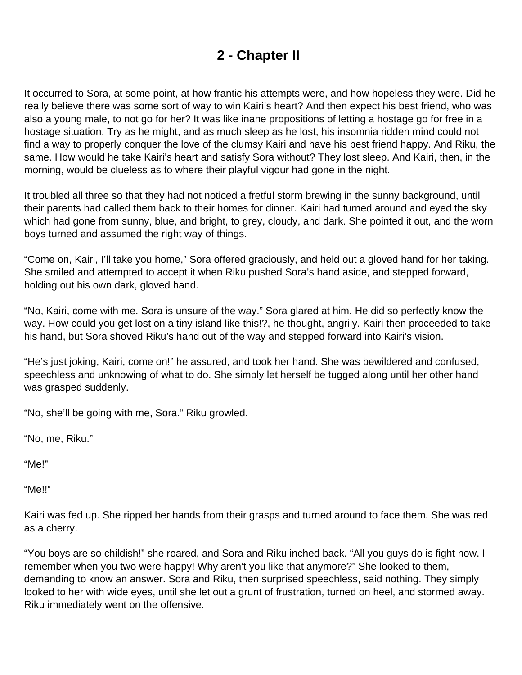## **2 - Chapter II**

<span id="page-3-0"></span>It occurred to Sora, at some point, at how frantic his attempts were, and how hopeless they were. Did he really believe there was some sort of way to win Kairi's heart? And then expect his best friend, who was also a young male, to not go for her? It was like inane propositions of letting a hostage go for free in a hostage situation. Try as he might, and as much sleep as he lost, his insomnia ridden mind could not find a way to properly conquer the love of the clumsy Kairi and have his best friend happy. And Riku, the same. How would he take Kairi's heart and satisfy Sora without? They lost sleep. And Kairi, then, in the morning, would be clueless as to where their playful vigour had gone in the night.

It troubled all three so that they had not noticed a fretful storm brewing in the sunny background, until their parents had called them back to their homes for dinner. Kairi had turned around and eyed the sky which had gone from sunny, blue, and bright, to grey, cloudy, and dark. She pointed it out, and the worn boys turned and assumed the right way of things.

"Come on, Kairi, I'll take you home," Sora offered graciously, and held out a gloved hand for her taking. She smiled and attempted to accept it when Riku pushed Sora's hand aside, and stepped forward, holding out his own dark, gloved hand.

"No, Kairi, come with me. Sora is unsure of the way." Sora glared at him. He did so perfectly know the way. How could you get lost on a tiny island like this!?, he thought, angrily. Kairi then proceeded to take his hand, but Sora shoved Riku's hand out of the way and stepped forward into Kairi's vision.

"He's just joking, Kairi, come on!" he assured, and took her hand. She was bewildered and confused, speechless and unknowing of what to do. She simply let herself be tugged along until her other hand was grasped suddenly.

"No, she'll be going with me, Sora." Riku growled.

"No, me, Riku."

"Me!"

"Me!!"

Kairi was fed up. She ripped her hands from their grasps and turned around to face them. She was red as a cherry.

"You boys are so childish!" she roared, and Sora and Riku inched back. "All you guys do is fight now. I remember when you two were happy! Why aren't you like that anymore?" She looked to them, demanding to know an answer. Sora and Riku, then surprised speechless, said nothing. They simply looked to her with wide eyes, until she let out a grunt of frustration, turned on heel, and stormed away. Riku immediately went on the offensive.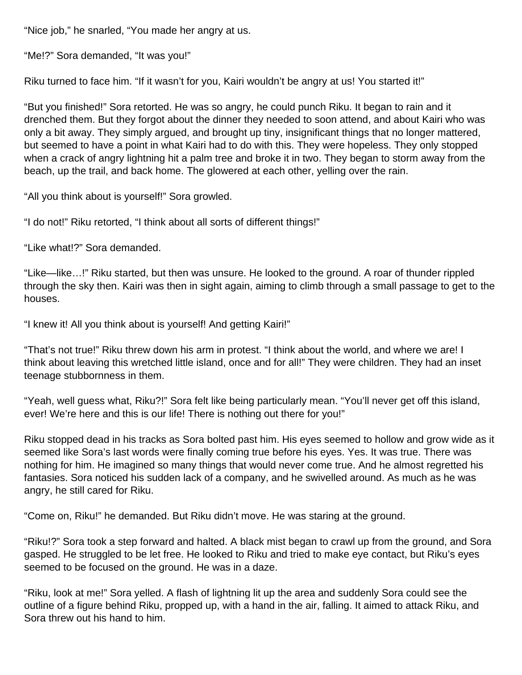"Nice job," he snarled, "You made her angry at us.

"Me!?" Sora demanded, "It was you!"

Riku turned to face him. "If it wasn't for you, Kairi wouldn't be angry at us! You started it!"

"But you finished!" Sora retorted. He was so angry, he could punch Riku. It began to rain and it drenched them. But they forgot about the dinner they needed to soon attend, and about Kairi who was only a bit away. They simply argued, and brought up tiny, insignificant things that no longer mattered, but seemed to have a point in what Kairi had to do with this. They were hopeless. They only stopped when a crack of angry lightning hit a palm tree and broke it in two. They began to storm away from the beach, up the trail, and back home. The glowered at each other, yelling over the rain.

"All you think about is yourself!" Sora growled.

"I do not!" Riku retorted, "I think about all sorts of different things!"

"Like what!?" Sora demanded.

"Like—like…!" Riku started, but then was unsure. He looked to the ground. A roar of thunder rippled through the sky then. Kairi was then in sight again, aiming to climb through a small passage to get to the houses.

"I knew it! All you think about is yourself! And getting Kairi!"

"That's not true!" Riku threw down his arm in protest. "I think about the world, and where we are! I think about leaving this wretched little island, once and for all!" They were children. They had an inset teenage stubbornness in them.

"Yeah, well guess what, Riku?!" Sora felt like being particularly mean. "You'll never get off this island, ever! We're here and this is our life! There is nothing out there for you!"

Riku stopped dead in his tracks as Sora bolted past him. His eyes seemed to hollow and grow wide as it seemed like Sora's last words were finally coming true before his eyes. Yes. It was true. There was nothing for him. He imagined so many things that would never come true. And he almost regretted his fantasies. Sora noticed his sudden lack of a company, and he swivelled around. As much as he was angry, he still cared for Riku.

"Come on, Riku!" he demanded. But Riku didn't move. He was staring at the ground.

"Riku!?" Sora took a step forward and halted. A black mist began to crawl up from the ground, and Sora gasped. He struggled to be let free. He looked to Riku and tried to make eye contact, but Riku's eyes seemed to be focused on the ground. He was in a daze.

"Riku, look at me!" Sora yelled. A flash of lightning lit up the area and suddenly Sora could see the outline of a figure behind Riku, propped up, with a hand in the air, falling. It aimed to attack Riku, and Sora threw out his hand to him.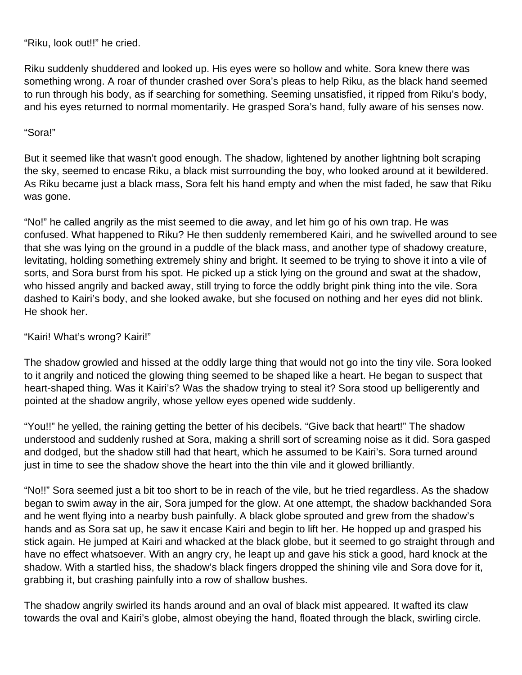"Riku, look out!!" he cried.

Riku suddenly shuddered and looked up. His eyes were so hollow and white. Sora knew there was something wrong. A roar of thunder crashed over Sora's pleas to help Riku, as the black hand seemed to run through his body, as if searching for something. Seeming unsatisfied, it ripped from Riku's body, and his eyes returned to normal momentarily. He grasped Sora's hand, fully aware of his senses now.

#### "Sora!"

But it seemed like that wasn't good enough. The shadow, lightened by another lightning bolt scraping the sky, seemed to encase Riku, a black mist surrounding the boy, who looked around at it bewildered. As Riku became just a black mass, Sora felt his hand empty and when the mist faded, he saw that Riku was gone.

"No!" he called angrily as the mist seemed to die away, and let him go of his own trap. He was confused. What happened to Riku? He then suddenly remembered Kairi, and he swivelled around to see that she was lying on the ground in a puddle of the black mass, and another type of shadowy creature, levitating, holding something extremely shiny and bright. It seemed to be trying to shove it into a vile of sorts, and Sora burst from his spot. He picked up a stick lying on the ground and swat at the shadow, who hissed angrily and backed away, still trying to force the oddly bright pink thing into the vile. Sora dashed to Kairi's body, and she looked awake, but she focused on nothing and her eyes did not blink. He shook her.

#### "Kairi! What's wrong? Kairi!"

The shadow growled and hissed at the oddly large thing that would not go into the tiny vile. Sora looked to it angrily and noticed the glowing thing seemed to be shaped like a heart. He began to suspect that heart-shaped thing. Was it Kairi's? Was the shadow trying to steal it? Sora stood up belligerently and pointed at the shadow angrily, whose yellow eyes opened wide suddenly.

"You!!" he yelled, the raining getting the better of his decibels. "Give back that heart!" The shadow understood and suddenly rushed at Sora, making a shrill sort of screaming noise as it did. Sora gasped and dodged, but the shadow still had that heart, which he assumed to be Kairi's. Sora turned around just in time to see the shadow shove the heart into the thin vile and it glowed brilliantly.

"No!!" Sora seemed just a bit too short to be in reach of the vile, but he tried regardless. As the shadow began to swim away in the air, Sora jumped for the glow. At one attempt, the shadow backhanded Sora and he went flying into a nearby bush painfully. A black globe sprouted and grew from the shadow's hands and as Sora sat up, he saw it encase Kairi and begin to lift her. He hopped up and grasped his stick again. He jumped at Kairi and whacked at the black globe, but it seemed to go straight through and have no effect whatsoever. With an angry cry, he leapt up and gave his stick a good, hard knock at the shadow. With a startled hiss, the shadow's black fingers dropped the shining vile and Sora dove for it, grabbing it, but crashing painfully into a row of shallow bushes.

The shadow angrily swirled its hands around and an oval of black mist appeared. It wafted its claw towards the oval and Kairi's globe, almost obeying the hand, floated through the black, swirling circle.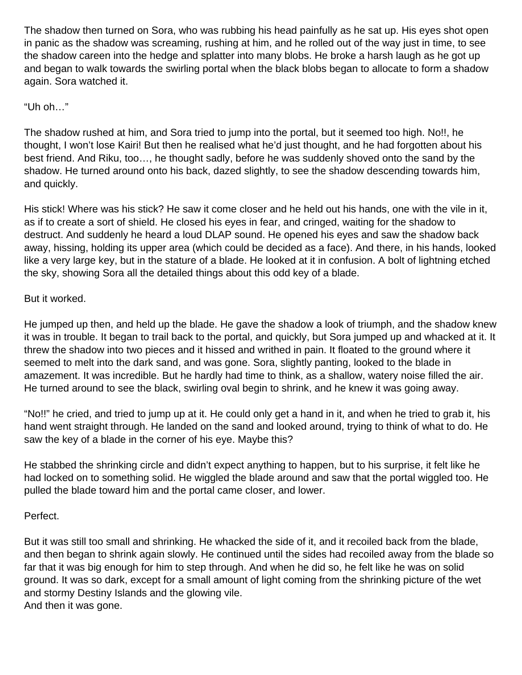The shadow then turned on Sora, who was rubbing his head painfully as he sat up. His eyes shot open in panic as the shadow was screaming, rushing at him, and he rolled out of the way just in time, to see the shadow careen into the hedge and splatter into many blobs. He broke a harsh laugh as he got up and began to walk towards the swirling portal when the black blobs began to allocate to form a shadow again. Sora watched it.

#### "Uh oh…"

The shadow rushed at him, and Sora tried to jump into the portal, but it seemed too high. No!!, he thought, I won't lose Kairi! But then he realised what he'd just thought, and he had forgotten about his best friend. And Riku, too…, he thought sadly, before he was suddenly shoved onto the sand by the shadow. He turned around onto his back, dazed slightly, to see the shadow descending towards him, and quickly.

His stick! Where was his stick? He saw it come closer and he held out his hands, one with the vile in it, as if to create a sort of shield. He closed his eyes in fear, and cringed, waiting for the shadow to destruct. And suddenly he heard a loud DLAP sound. He opened his eyes and saw the shadow back away, hissing, holding its upper area (which could be decided as a face). And there, in his hands, looked like a very large key, but in the stature of a blade. He looked at it in confusion. A bolt of lightning etched the sky, showing Sora all the detailed things about this odd key of a blade.

#### But it worked.

He jumped up then, and held up the blade. He gave the shadow a look of triumph, and the shadow knew it was in trouble. It began to trail back to the portal, and quickly, but Sora jumped up and whacked at it. It threw the shadow into two pieces and it hissed and writhed in pain. It floated to the ground where it seemed to melt into the dark sand, and was gone. Sora, slightly panting, looked to the blade in amazement. It was incredible. But he hardly had time to think, as a shallow, watery noise filled the air. He turned around to see the black, swirling oval begin to shrink, and he knew it was going away.

"No!!" he cried, and tried to jump up at it. He could only get a hand in it, and when he tried to grab it, his hand went straight through. He landed on the sand and looked around, trying to think of what to do. He saw the key of a blade in the corner of his eye. Maybe this?

He stabbed the shrinking circle and didn't expect anything to happen, but to his surprise, it felt like he had locked on to something solid. He wiggled the blade around and saw that the portal wiggled too. He pulled the blade toward him and the portal came closer, and lower.

#### Perfect.

But it was still too small and shrinking. He whacked the side of it, and it recoiled back from the blade, and then began to shrink again slowly. He continued until the sides had recoiled away from the blade so far that it was big enough for him to step through. And when he did so, he felt like he was on solid ground. It was so dark, except for a small amount of light coming from the shrinking picture of the wet and stormy Destiny Islands and the glowing vile. And then it was gone.